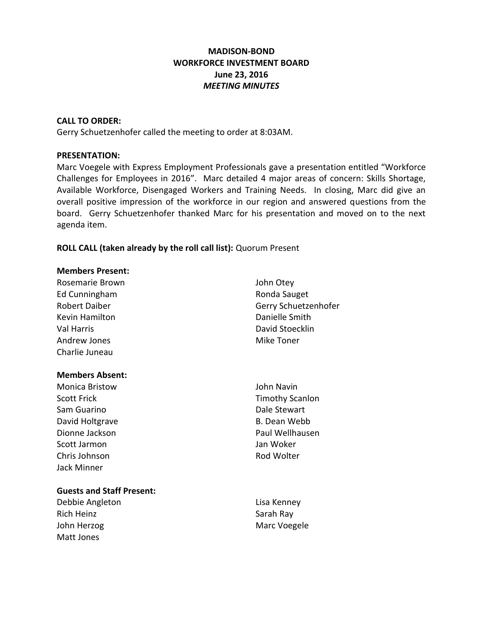# **MADISON-BOND WORKFORCE INVESTMENT BOARD June 23, 2016** *MEETING MINUTES*

#### **CALL TO ORDER:**

Gerry Schuetzenhofer called the meeting to order at 8:03AM.

#### **PRESENTATION:**

Marc Voegele with Express Employment Professionals gave a presentation entitled "Workforce Challenges for Employees in 2016". Marc detailed 4 major areas of concern: Skills Shortage, Available Workforce, Disengaged Workers and Training Needs. In closing, Marc did give an overall positive impression of the workforce in our region and answered questions from the board. Gerry Schuetzenhofer thanked Marc for his presentation and moved on to the next agenda item.

# **ROLL CALL (taken already by the roll call list):** Quorum Present

#### **Members Present:**

| Rosemarie Brown        |
|------------------------|
| Ed Cunningham          |
| Robert Daiber          |
| Kevin Hamilton         |
| Val Harris             |
| Andrew Jones           |
| Charlie Juneau         |
|                        |
|                        |
| <b>Members Absent:</b> |
| Monica Bristow         |
| Scott Frick            |
| Sam Guarino            |
| David Holtgrave        |
| Dionne Jackson         |

- John Otey Ronda Sauget Gerry Schuetzenhofer Danielle Smith David Stoecklin Mike Toner
- John Navin Timothy Scanlon Dale Stewart B. Dean Webb Paul Wellhausen Scott Jarmon Jan Woker Chris Johnson **Rod Wolter** Rod Wolter

# **Guests and Staff Present:**

Debbie Angleton **Lisa Kenney** Rich Heinz Sarah Ray John Herzog Marc Voegele Matt Jones

Jack Minner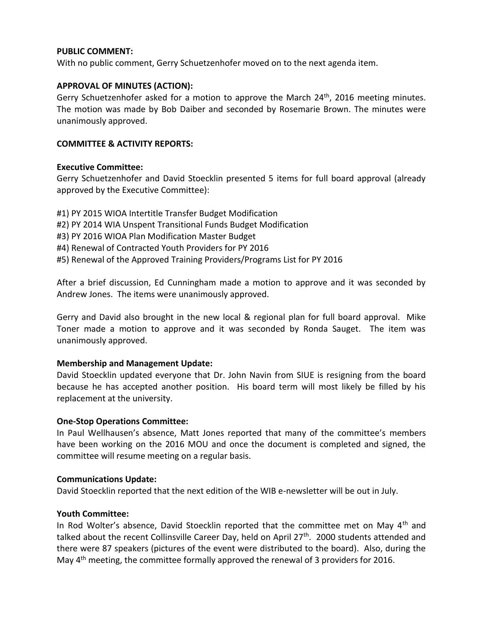### **PUBLIC COMMENT:**

With no public comment, Gerry Schuetzenhofer moved on to the next agenda item.

### **APPROVAL OF MINUTES (ACTION):**

Gerry Schuetzenhofer asked for a motion to approve the March  $24<sup>th</sup>$ , 2016 meeting minutes. The motion was made by Bob Daiber and seconded by Rosemarie Brown. The minutes were unanimously approved.

#### **COMMITTEE & ACTIVITY REPORTS:**

#### **Executive Committee:**

Gerry Schuetzenhofer and David Stoecklin presented 5 items for full board approval (already approved by the Executive Committee):

- #1) PY 2015 WIOA Intertitle Transfer Budget Modification
- #2) PY 2014 WIA Unspent Transitional Funds Budget Modification
- #3) PY 2016 WIOA Plan Modification Master Budget
- #4) Renewal of Contracted Youth Providers for PY 2016
- #5) Renewal of the Approved Training Providers/Programs List for PY 2016

After a brief discussion, Ed Cunningham made a motion to approve and it was seconded by Andrew Jones. The items were unanimously approved.

Gerry and David also brought in the new local & regional plan for full board approval. Mike Toner made a motion to approve and it was seconded by Ronda Sauget. The item was unanimously approved.

## **Membership and Management Update:**

David Stoecklin updated everyone that Dr. John Navin from SIUE is resigning from the board because he has accepted another position. His board term will most likely be filled by his replacement at the university.

## **One-Stop Operations Committee:**

In Paul Wellhausen's absence, Matt Jones reported that many of the committee's members have been working on the 2016 MOU and once the document is completed and signed, the committee will resume meeting on a regular basis.

#### **Communications Update:**

David Stoecklin reported that the next edition of the WIB e-newsletter will be out in July.

## **Youth Committee:**

In Rod Wolter's absence, David Stoecklin reported that the committee met on May  $4<sup>th</sup>$  and talked about the recent Collinsville Career Day, held on April 27<sup>th</sup>. 2000 students attended and there were 87 speakers (pictures of the event were distributed to the board). Also, during the May 4<sup>th</sup> meeting, the committee formally approved the renewal of 3 providers for 2016.